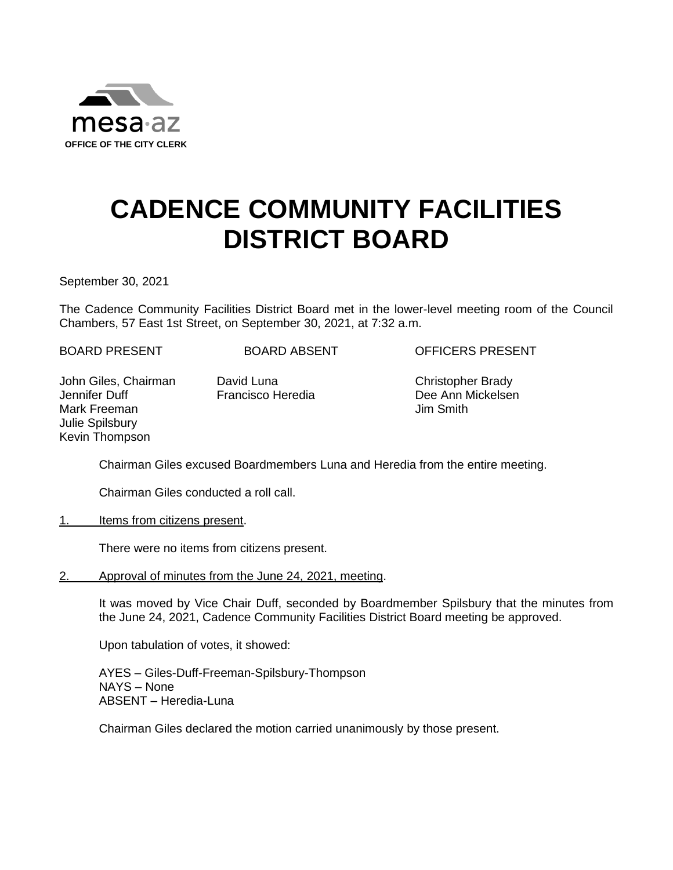

## **CADENCE COMMUNITY FACILITIES DISTRICT BOARD**

September 30, 2021

The Cadence Community Facilities District Board met in the lower-level meeting room of the Council Chambers, 57 East 1st Street, on September 30, 2021, at 7:32 a.m.

BOARD PRESENT BOARD ABSENT OFFICERS PRESENT

John Giles, Chairman Jennifer Duff Mark Freeman Julie Spilsbury Kevin Thompson

David Luna Francisco Heredia  Christopher Brady Dee Ann Mickelsen Jim Smith

Chairman Giles excused Boardmembers Luna and Heredia from the entire meeting.

Chairman Giles conducted a roll call.

1. Items from citizens present.

There were no items from citizens present.

2. Approval of minutes from the June 24, 2021, meeting.

It was moved by Vice Chair Duff, seconded by Boardmember Spilsbury that the minutes from the June 24, 2021, Cadence Community Facilities District Board meeting be approved.

Upon tabulation of votes, it showed:

AYES – Giles-Duff-Freeman-Spilsbury-Thompson NAYS – None ABSENT – Heredia-Luna

Chairman Giles declared the motion carried unanimously by those present.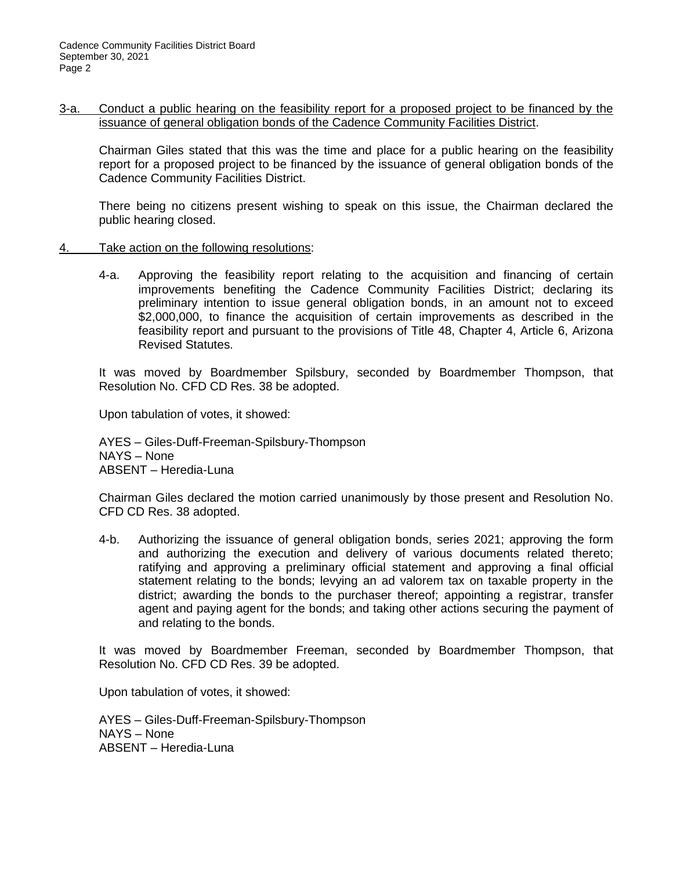3-a. Conduct a public hearing on the feasibility report for a proposed project to be financed by the issuance of general obligation bonds of the Cadence Community Facilities District.

Chairman Giles stated that this was the time and place for a public hearing on the feasibility report for a proposed project to be financed by the issuance of general obligation bonds of the Cadence Community Facilities District.

There being no citizens present wishing to speak on this issue, the Chairman declared the public hearing closed.

- 4. Take action on the following resolutions:
	- 4-a. Approving the feasibility report relating to the acquisition and financing of certain improvements benefiting the Cadence Community Facilities District; declaring its preliminary intention to issue general obligation bonds, in an amount not to exceed \$2,000,000, to finance the acquisition of certain improvements as described in the feasibility report and pursuant to the provisions of Title 48, Chapter 4, Article 6, Arizona Revised Statutes.

It was moved by Boardmember Spilsbury, seconded by Boardmember Thompson, that Resolution No. CFD CD Res. 38 be adopted.

Upon tabulation of votes, it showed:

AYES – Giles-Duff-Freeman-Spilsbury-Thompson NAYS – None ABSENT – Heredia-Luna

Chairman Giles declared the motion carried unanimously by those present and Resolution No. CFD CD Res. 38 adopted.

4-b. Authorizing the issuance of general obligation bonds, series 2021; approving the form and authorizing the execution and delivery of various documents related thereto; ratifying and approving a preliminary official statement and approving a final official statement relating to the bonds; levying an ad valorem tax on taxable property in the district; awarding the bonds to the purchaser thereof; appointing a registrar, transfer agent and paying agent for the bonds; and taking other actions securing the payment of and relating to the bonds.

It was moved by Boardmember Freeman, seconded by Boardmember Thompson, that Resolution No. CFD CD Res. 39 be adopted.

Upon tabulation of votes, it showed:

AYES – Giles-Duff-Freeman-Spilsbury-Thompson NAYS – None ABSENT – Heredia-Luna